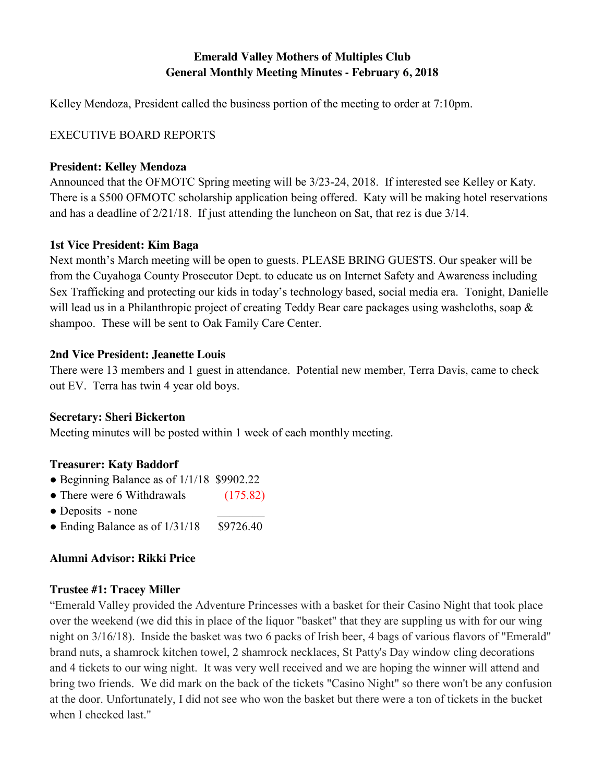# **Emerald Valley Mothers of Multiples Club General Monthly Meeting Minutes - February 6, 2018**

Kelley Mendoza, President called the business portion of the meeting to order at 7:10pm.

# EXECUTIVE BOARD REPORTS

## **President: Kelley Mendoza**

Announced that the OFMOTC Spring meeting will be 3/23-24, 2018. If interested see Kelley or Katy. There is a \$500 OFMOTC scholarship application being offered. Katy will be making hotel reservations and has a deadline of 2/21/18. If just attending the luncheon on Sat, that rez is due 3/14.

# **1st Vice President: Kim Baga**

Next month's March meeting will be open to guests. PLEASE BRING GUESTS. Our speaker will be from the Cuyahoga County Prosecutor Dept. to educate us on Internet Safety and Awareness including Sex Trafficking and protecting our kids in today's technology based, social media era. Tonight, Danielle will lead us in a Philanthropic project of creating Teddy Bear care packages using washcloths, soap  $\&$ shampoo. These will be sent to Oak Family Care Center.

# **2nd Vice President: Jeanette Louis**

There were 13 members and 1 guest in attendance. Potential new member, Terra Davis, came to check out EV. Terra has twin 4 year old boys.

# **Secretary: Sheri Bickerton**

Meeting minutes will be posted within 1 week of each monthly meeting.

# **Treasurer: Katy Baddorf**

- Beginning Balance as of 1/1/18 \$9902.22
- There were 6 Withdrawals (175.82)
- Deposits none
- Ending Balance as of  $1/31/18$  \$9726.40

# **Alumni Advisor: Rikki Price**

## **Trustee #1: Tracey Miller**

"Emerald Valley provided the Adventure Princesses with a basket for their Casino Night that took place over the weekend (we did this in place of the liquor "basket" that they are suppling us with for our wing night on 3/16/18). Inside the basket was two 6 packs of Irish beer, 4 bags of various flavors of "Emerald" brand nuts, a shamrock kitchen towel, 2 shamrock necklaces, St Patty's Day window cling decorations and 4 tickets to our wing night. It was very well received and we are hoping the winner will attend and bring two friends. We did mark on the back of the tickets "Casino Night" so there won't be any confusion at the door. Unfortunately, I did not see who won the basket but there were a ton of tickets in the bucket when I checked last."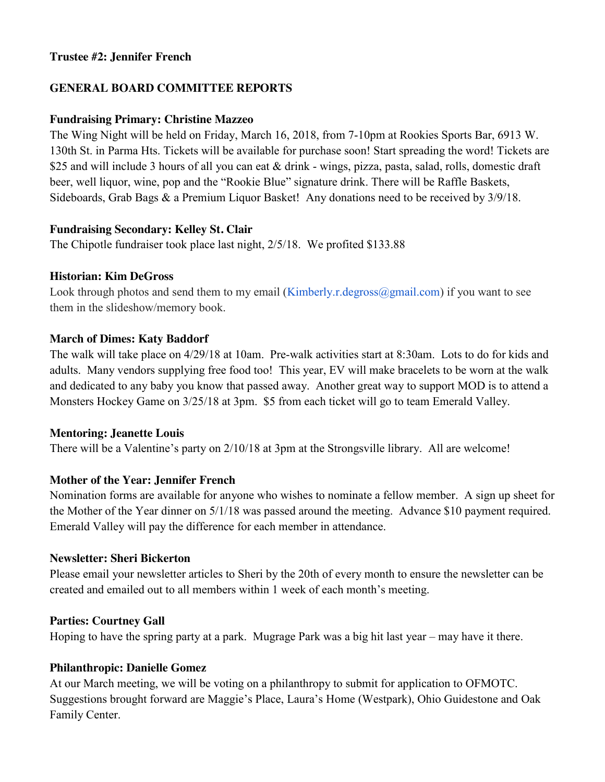### **Trustee #2: Jennifer French**

### **GENERAL BOARD COMMITTEE REPORTS**

#### **Fundraising Primary: Christine Mazzeo**

The Wing Night will be held on Friday, March 16, 2018, from 7-10pm at Rookies Sports Bar, 6913 W. 130th St. in Parma Hts. Tickets will be available for purchase soon! Start spreading the word! Tickets are \$25 and will include 3 hours of all you can eat & drink - wings, pizza, pasta, salad, rolls, domestic draft beer, well liquor, wine, pop and the "Rookie Blue" signature drink. There will be Raffle Baskets, Sideboards, Grab Bags & a Premium Liquor Basket! Any donations need to be received by 3/9/18.

### **Fundraising Secondary: Kelley St. Clair**

The Chipotle fundraiser took place last night, 2/5/18. We profited \$133.88

#### **Historian: Kim DeGross**

Look through photos and send them to my email (Kimberly.r.degross $\omega$ gmail.com) if you want to see them in the slideshow/memory book.

### **March of Dimes: Katy Baddorf**

The walk will take place on 4/29/18 at 10am. Pre-walk activities start at 8:30am. Lots to do for kids and adults. Many vendors supplying free food too! This year, EV will make bracelets to be worn at the walk and dedicated to any baby you know that passed away. Another great way to support MOD is to attend a Monsters Hockey Game on 3/25/18 at 3pm. \$5 from each ticket will go to team Emerald Valley.

#### **Mentoring: Jeanette Louis**

There will be a Valentine's party on 2/10/18 at 3pm at the Strongsville library. All are welcome!

## **Mother of the Year: Jennifer French**

Nomination forms are available for anyone who wishes to nominate a fellow member. A sign up sheet for the Mother of the Year dinner on 5/1/18 was passed around the meeting. Advance \$10 payment required. Emerald Valley will pay the difference for each member in attendance.

#### **Newsletter: Sheri Bickerton**

Please email your newsletter articles to Sheri by the 20th of every month to ensure the newsletter can be created and emailed out to all members within 1 week of each month's meeting.

#### **Parties: Courtney Gall**

Hoping to have the spring party at a park. Mugrage Park was a big hit last year – may have it there.

## **Philanthropic: Danielle Gomez**

At our March meeting, we will be voting on a philanthropy to submit for application to OFMOTC. Suggestions brought forward are Maggie's Place, Laura's Home (Westpark), Ohio Guidestone and Oak Family Center.